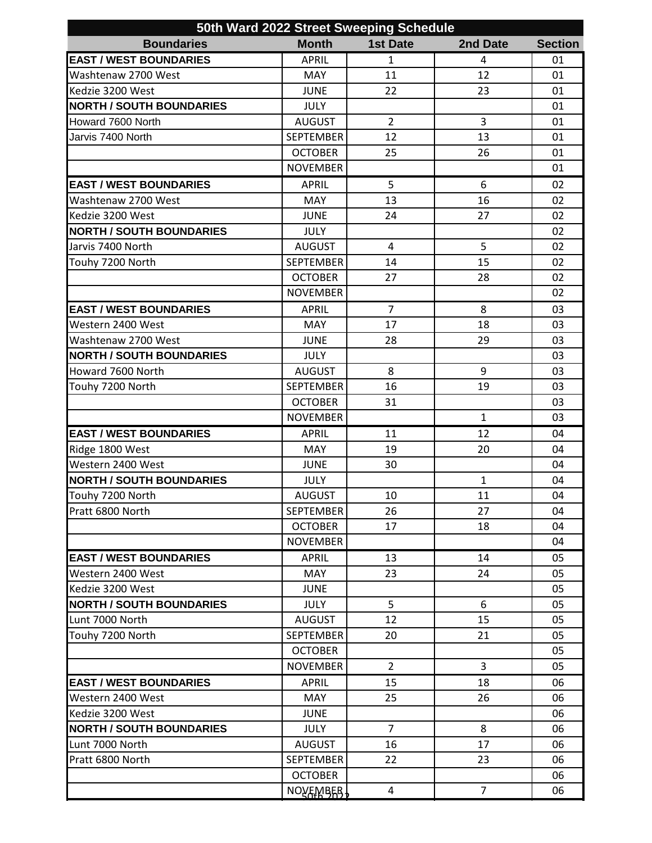| 50th Ward 2022 Street Sweeping Schedule |                  |                 |                |                |  |  |  |
|-----------------------------------------|------------------|-----------------|----------------|----------------|--|--|--|
| <b>Boundaries</b>                       | <b>Month</b>     | <b>1st Date</b> | 2nd Date       | <b>Section</b> |  |  |  |
| <b>EAST / WEST BOUNDARIES</b>           | <b>APRIL</b>     | $\mathbf{1}$    | 4              | 01             |  |  |  |
| Washtenaw 2700 West                     | <b>MAY</b>       | 11              | 12             | 01             |  |  |  |
| Kedzie 3200 West                        | <b>JUNE</b>      | 22              | 23             | 01             |  |  |  |
| <b>NORTH / SOUTH BOUNDARIES</b>         | <b>JULY</b>      |                 |                | 01             |  |  |  |
| Howard 7600 North                       | <b>AUGUST</b>    | $\overline{2}$  | 3              | 01             |  |  |  |
| Jarvis 7400 North                       | <b>SEPTEMBER</b> | 12              | 13             | 01             |  |  |  |
|                                         | <b>OCTOBER</b>   | 25              | 26             | 01             |  |  |  |
|                                         | <b>NOVEMBER</b>  |                 |                | 01             |  |  |  |
| <b>EAST / WEST BOUNDARIES</b>           | <b>APRIL</b>     | 5               | 6              | 02             |  |  |  |
| Washtenaw 2700 West                     | <b>MAY</b>       | 13              | 16             | 02             |  |  |  |
| Kedzie 3200 West                        | <b>JUNE</b>      | 24              | 27             | 02             |  |  |  |
| <b>NORTH / SOUTH BOUNDARIES</b>         | <b>JULY</b>      |                 |                | 02             |  |  |  |
| Jarvis 7400 North                       | <b>AUGUST</b>    | 4               | 5              | 02             |  |  |  |
| Touhy 7200 North                        | <b>SEPTEMBER</b> | 14              | 15             | 02             |  |  |  |
|                                         | <b>OCTOBER</b>   | 27              | 28             | 02             |  |  |  |
|                                         | <b>NOVEMBER</b>  |                 |                | 02             |  |  |  |
| <b>EAST / WEST BOUNDARIES</b>           | <b>APRIL</b>     | $\overline{7}$  | 8              | 03             |  |  |  |
| Western 2400 West                       | <b>MAY</b>       | 17              | 18             | 03             |  |  |  |
| Washtenaw 2700 West                     | <b>JUNE</b>      | 28              | 29             | 03             |  |  |  |
| <b>NORTH / SOUTH BOUNDARIES</b>         | <b>JULY</b>      |                 |                | 03             |  |  |  |
| Howard 7600 North                       | <b>AUGUST</b>    | 8               | 9              | 03             |  |  |  |
| Touhy 7200 North                        | <b>SEPTEMBER</b> | 16              | 19             | 03             |  |  |  |
|                                         | <b>OCTOBER</b>   | 31              |                | 03             |  |  |  |
|                                         | <b>NOVEMBER</b>  |                 | $\mathbf{1}$   | 03             |  |  |  |
| <b>EAST / WEST BOUNDARIES</b>           | <b>APRIL</b>     | 11              | 12             | 04             |  |  |  |
| Ridge 1800 West                         | <b>MAY</b>       | 19              | 20             | 04             |  |  |  |
| Western 2400 West                       | <b>JUNE</b>      | 30              |                | 04             |  |  |  |
| <b>NORTH / SOUTH BOUNDARIES</b>         | <b>JULY</b>      |                 | $\mathbf{1}$   | 04             |  |  |  |
| Touhy 7200 North                        | <b>AUGUST</b>    | 10              | 11             | 04             |  |  |  |
| Pratt 6800 North                        | <b>SEPTEMBER</b> | 26              | 27             | 04             |  |  |  |
|                                         | <b>OCTOBER</b>   | 17              | 18             | 04             |  |  |  |
|                                         | <b>NOVEMBER</b>  |                 |                | 04             |  |  |  |
| <b>EAST / WEST BOUNDARIES</b>           | <b>APRIL</b>     | 13              | 14             | 05             |  |  |  |
| Western 2400 West                       | <b>MAY</b>       | 23              | 24             | 05             |  |  |  |
| Kedzie 3200 West                        | <b>JUNE</b>      |                 |                | 05             |  |  |  |
| <b>NORTH / SOUTH BOUNDARIES</b>         | <b>JULY</b>      | 5               | 6              | 05             |  |  |  |
| Lunt 7000 North                         | <b>AUGUST</b>    | 12              | 15             | 05             |  |  |  |
| Touhy 7200 North                        | <b>SEPTEMBER</b> | 20              | 21             | 05             |  |  |  |
|                                         | <b>OCTOBER</b>   |                 |                | 05             |  |  |  |
|                                         | <b>NOVEMBER</b>  | $\overline{2}$  | 3              | 05             |  |  |  |
| <b>EAST / WEST BOUNDARIES</b>           | <b>APRIL</b>     | 15              | 18             | 06             |  |  |  |
| Western 2400 West                       | <b>MAY</b>       | 25              | 26             | 06             |  |  |  |
| Kedzie 3200 West                        | <b>JUNE</b>      |                 |                | 06             |  |  |  |
| <b>NORTH / SOUTH BOUNDARIES</b>         | <b>JULY</b>      | $\overline{7}$  | 8              | 06             |  |  |  |
| Lunt 7000 North                         | <b>AUGUST</b>    | 16              | 17             | 06             |  |  |  |
| Pratt 6800 North                        | <b>SEPTEMBER</b> | 22              | 23             | 06             |  |  |  |
|                                         | <b>OCTOBER</b>   |                 |                | 06             |  |  |  |
|                                         | NOVEMBER         | $\overline{4}$  | $\overline{7}$ | 06             |  |  |  |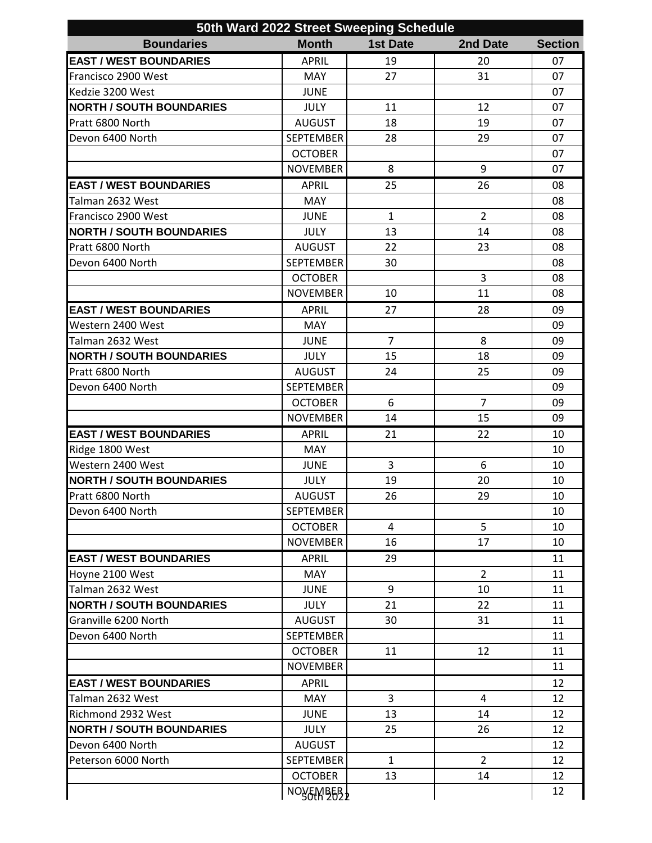| 50th Ward 2022 Street Sweeping Schedule |                  |                 |                |                |  |  |  |
|-----------------------------------------|------------------|-----------------|----------------|----------------|--|--|--|
| <b>Boundaries</b>                       | <b>Month</b>     | <b>1st Date</b> | 2nd Date       | <b>Section</b> |  |  |  |
| <b>EAST / WEST BOUNDARIES</b>           | <b>APRIL</b>     | 19              | 20             | 07             |  |  |  |
| Francisco 2900 West                     | <b>MAY</b>       | 27              | 31             | 07             |  |  |  |
| Kedzie 3200 West                        | <b>JUNE</b>      |                 |                | 07             |  |  |  |
| <b>NORTH / SOUTH BOUNDARIES</b>         | <b>JULY</b>      | 11              | 12             | 07             |  |  |  |
| Pratt 6800 North                        | <b>AUGUST</b>    | 18              | 19             | 07             |  |  |  |
| Devon 6400 North                        | <b>SEPTEMBER</b> | 28              | 29             | 07             |  |  |  |
|                                         | <b>OCTOBER</b>   |                 |                | 07             |  |  |  |
|                                         | <b>NOVEMBER</b>  | 8               | 9              | 07             |  |  |  |
| <b>EAST / WEST BOUNDARIES</b>           | <b>APRIL</b>     | 25              | 26             | 08             |  |  |  |
| Talman 2632 West                        | <b>MAY</b>       |                 |                | 08             |  |  |  |
| Francisco 2900 West                     | <b>JUNE</b>      | $\mathbf{1}$    | $\overline{2}$ | 08             |  |  |  |
| <b>NORTH / SOUTH BOUNDARIES</b>         | <b>JULY</b>      | 13              | 14             | 08             |  |  |  |
| Pratt 6800 North                        | <b>AUGUST</b>    | 22              | 23             | 08             |  |  |  |
| Devon 6400 North                        | <b>SEPTEMBER</b> | 30              |                | 08             |  |  |  |
|                                         | <b>OCTOBER</b>   |                 | 3              | 08             |  |  |  |
|                                         | <b>NOVEMBER</b>  | 10              | 11             | 08             |  |  |  |
| <b>EAST / WEST BOUNDARIES</b>           | <b>APRIL</b>     | 27              | 28             | 09             |  |  |  |
| Western 2400 West                       | <b>MAY</b>       |                 |                | 09             |  |  |  |
| Talman 2632 West                        | <b>JUNE</b>      | $\overline{7}$  | 8              | 09             |  |  |  |
| <b>NORTH / SOUTH BOUNDARIES</b>         | <b>JULY</b>      | 15              | 18             | 09             |  |  |  |
| Pratt 6800 North                        | <b>AUGUST</b>    | 24              | 25             | 09             |  |  |  |
| Devon 6400 North                        | <b>SEPTEMBER</b> |                 |                | 09             |  |  |  |
|                                         | <b>OCTOBER</b>   | 6               | $\overline{7}$ | 09             |  |  |  |
|                                         | <b>NOVEMBER</b>  | 14              | 15             | 09             |  |  |  |
| <b>EAST / WEST BOUNDARIES</b>           | <b>APRIL</b>     | 21              | 22             | 10             |  |  |  |
| Ridge 1800 West                         | <b>MAY</b>       |                 |                | 10             |  |  |  |
| Western 2400 West                       | <b>JUNE</b>      | 3               | 6              | 10             |  |  |  |
| <b>NORTH / SOUTH BOUNDARIES</b>         | <b>JULY</b>      | 19              | 20             | 10             |  |  |  |
| Pratt 6800 North                        | <b>AUGUST</b>    | 26              | 29             | 10             |  |  |  |
| Devon 6400 North                        | <b>SEPTEMBER</b> |                 |                | 10             |  |  |  |
|                                         | <b>OCTOBER</b>   | 4               | 5              | 10             |  |  |  |
|                                         | <b>NOVEMBER</b>  | 16              | 17             | 10             |  |  |  |
| <b>EAST / WEST BOUNDARIES</b>           | <b>APRIL</b>     | 29              |                | 11             |  |  |  |
| Hoyne 2100 West                         | MAY              |                 | $\overline{2}$ | 11             |  |  |  |
| Talman 2632 West                        | <b>JUNE</b>      | 9               | 10             | 11             |  |  |  |
| <b>NORTH / SOUTH BOUNDARIES</b>         | <b>JULY</b>      | 21              | 22             | 11             |  |  |  |
| Granville 6200 North                    | <b>AUGUST</b>    | 30              | 31             | 11             |  |  |  |
| Devon 6400 North                        | <b>SEPTEMBER</b> |                 |                | 11             |  |  |  |
|                                         | <b>OCTOBER</b>   | 11              | 12             | 11             |  |  |  |
|                                         | <b>NOVEMBER</b>  |                 |                | 11             |  |  |  |
| <b>EAST / WEST BOUNDARIES</b>           | <b>APRIL</b>     |                 |                | 12             |  |  |  |
| Talman 2632 West                        | <b>MAY</b>       | 3               | 4              | 12             |  |  |  |
| Richmond 2932 West                      | <b>JUNE</b>      | 13              | 14             | 12             |  |  |  |
| <b>NORTH / SOUTH BOUNDARIES</b>         | <b>JULY</b>      | 25              | 26             | 12             |  |  |  |
| Devon 6400 North                        | <b>AUGUST</b>    |                 |                | 12             |  |  |  |
| Peterson 6000 North                     | <b>SEPTEMBER</b> | $\mathbf{1}$    | $\overline{2}$ | 12             |  |  |  |
|                                         | <b>OCTOBER</b>   | 13              | 14             | 12             |  |  |  |
|                                         | NOYEMBEB1        |                 |                | 12             |  |  |  |